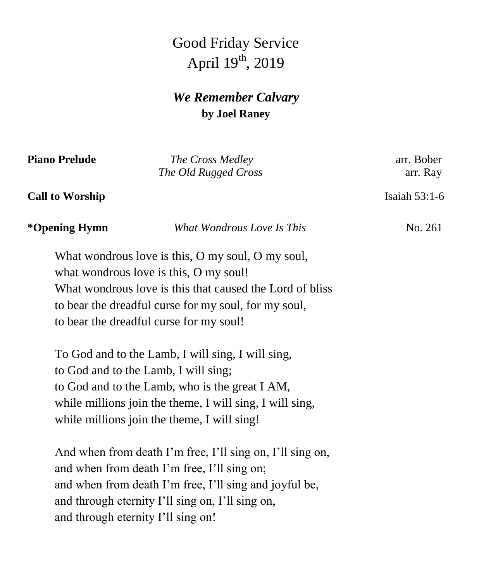# Good Friday Service April 19<sup>th</sup>, 2019

## *We Remember Calvary* **by Joel Raney**

**Piano Prelude** *The Cross Medley* **arr.** Bober *The Old Rugged Cross* arr. Ray **Call to Worship** Isaiah 53:1-6 **\*Opening Hymn** *What Wondrous Love Is This* No. 261 What wondrous love is this, O my soul, O my soul, what wondrous love is this, O my soul! What wondrous love is this that caused the Lord of bliss to bear the dreadful curse for my soul, for my soul, to bear the dreadful curse for my soul! To God and to the Lamb, I will sing, I will sing, to God and to the Lamb, I will sing; to God and to the Lamb, who is the great I AM, while millions join the theme, I will sing, I will sing, while millions join the theme, I will sing! And when from death I'm free, I'll sing on, I'll sing on, and when from death I'm free, I'll sing on; and when from death I'm free, I'll sing and joyful be, and through eternity I'll sing on, I'll sing on, and through eternity I'll sing on!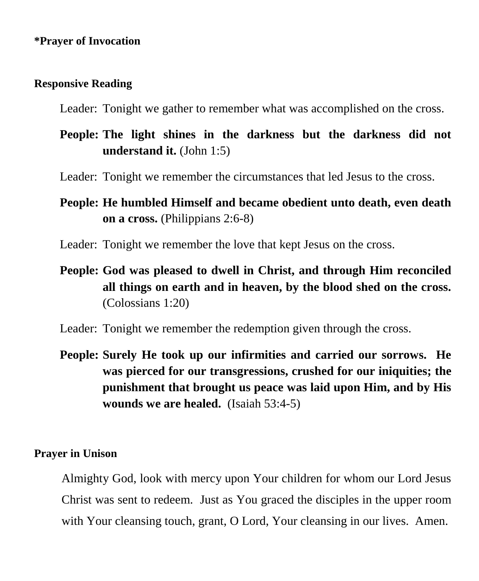#### **\*Prayer of Invocation**

#### **Responsive Reading**

Leader: Tonight we gather to remember what was accomplished on the cross.

- **People: The light shines in the darkness but the darkness did not understand it.** (John 1:5)
- Leader: Tonight we remember the circumstances that led Jesus to the cross.
- **People: He humbled Himself and became obedient unto death, even death on a cross.** (Philippians 2:6-8)
- Leader: Tonight we remember the love that kept Jesus on the cross.
- **People: God was pleased to dwell in Christ, and through Him reconciled all things on earth and in heaven, by the blood shed on the cross.**  (Colossians 1:20)
- Leader: Tonight we remember the redemption given through the cross.
- **People: Surely He took up our infirmities and carried our sorrows. He was pierced for our transgressions, crushed for our iniquities; the punishment that brought us peace was laid upon Him, and by His wounds we are healed.** (Isaiah 53:4-5)

### **Prayer in Unison**

Almighty God, look with mercy upon Your children for whom our Lord Jesus Christ was sent to redeem. Just as You graced the disciples in the upper room with Your cleansing touch, grant, O Lord, Your cleansing in our lives. Amen.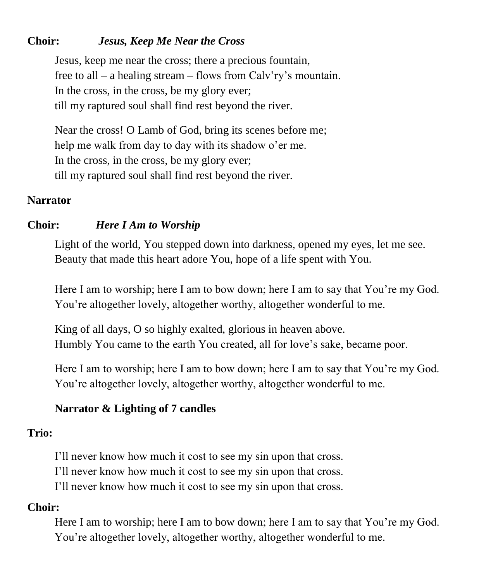#### **Choir:** *Jesus, Keep Me Near the Cross*

Jesus, keep me near the cross; there a precious fountain, free to all – a healing stream – flows from Calv'ry's mountain. In the cross, in the cross, be my glory ever; till my raptured soul shall find rest beyond the river.

Near the cross! O Lamb of God, bring its scenes before me; help me walk from day to day with its shadow o'er me. In the cross, in the cross, be my glory ever; till my raptured soul shall find rest beyond the river.

#### **Narrator**

### **Choir:** *Here I Am to Worship*

Light of the world, You stepped down into darkness, opened my eyes, let me see. Beauty that made this heart adore You, hope of a life spent with You.

Here I am to worship; here I am to bow down; here I am to say that You're my God. You're altogether lovely, altogether worthy, altogether wonderful to me.

King of all days, O so highly exalted, glorious in heaven above. Humbly You came to the earth You created, all for love's sake, became poor.

Here I am to worship; here I am to bow down; here I am to say that You're my God. You're altogether lovely, altogether worthy, altogether wonderful to me.

## **Narrator & Lighting of 7 candles**

### **Trio:**

I'll never know how much it cost to see my sin upon that cross. I'll never know how much it cost to see my sin upon that cross. I'll never know how much it cost to see my sin upon that cross.

### **Choir:**

Here I am to worship; here I am to bow down; here I am to say that You're my God. You're altogether lovely, altogether worthy, altogether wonderful to me.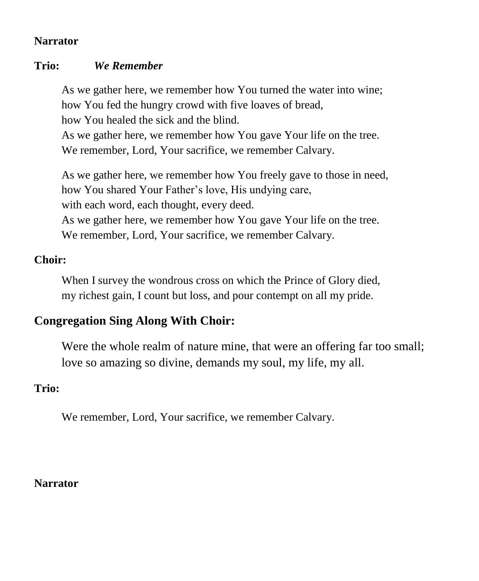#### **Narrator**

#### **Trio:** *We Remember*

As we gather here, we remember how You turned the water into wine; how You fed the hungry crowd with five loaves of bread, how You healed the sick and the blind. As we gather here, we remember how You gave Your life on the tree. We remember, Lord, Your sacrifice, we remember Calvary.

As we gather here, we remember how You freely gave to those in need, how You shared Your Father's love, His undying care, with each word, each thought, every deed. As we gather here, we remember how You gave Your life on the tree. We remember, Lord, Your sacrifice, we remember Calvary.

#### **Choir:**

When I survey the wondrous cross on which the Prince of Glory died, my richest gain, I count but loss, and pour contempt on all my pride.

## **Congregation Sing Along With Choir:**

Were the whole realm of nature mine, that were an offering far too small; love so amazing so divine, demands my soul, my life, my all.

#### **Trio:**

We remember, Lord, Your sacrifice, we remember Calvary.

#### **Narrator**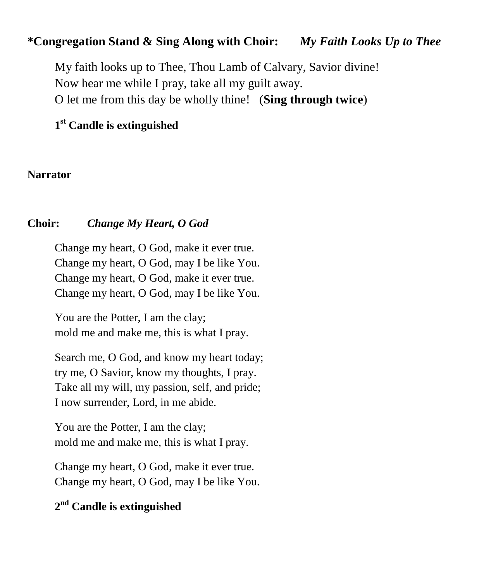## **\*Congregation Stand & Sing Along with Choir:** *My Faith Looks Up to Thee*

My faith looks up to Thee, Thou Lamb of Calvary, Savior divine! Now hear me while I pray, take all my guilt away. O let me from this day be wholly thine! (**Sing through twice**)

## **1 st Candle is extinguished**

#### **Narrator**

#### **Choir:** *Change My Heart, O God*

Change my heart, O God, make it ever true. Change my heart, O God, may I be like You. Change my heart, O God, make it ever true. Change my heart, O God, may I be like You.

You are the Potter, I am the clay; mold me and make me, this is what I pray.

Search me, O God, and know my heart today; try me, O Savior, know my thoughts, I pray. Take all my will, my passion, self, and pride; I now surrender, Lord, in me abide.

You are the Potter, I am the clay; mold me and make me, this is what I pray.

Change my heart, O God, make it ever true. Change my heart, O God, may I be like You.

## **2 nd Candle is extinguished**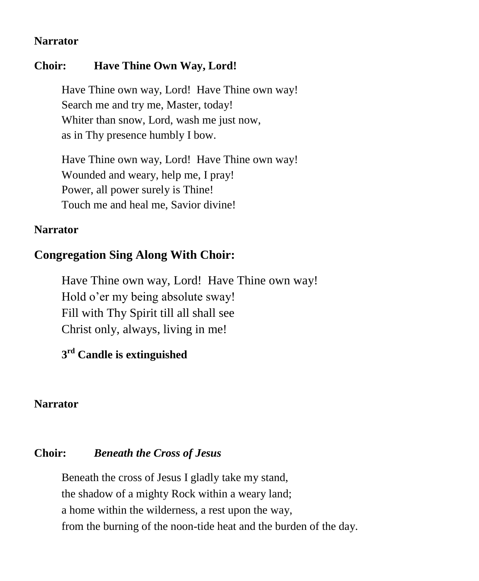#### **Narrator**

#### **Choir: Have Thine Own Way, Lord!**

Have Thine own way, Lord! Have Thine own way! Search me and try me, Master, today! Whiter than snow, Lord, wash me just now, as in Thy presence humbly I bow.

Have Thine own way, Lord! Have Thine own way! Wounded and weary, help me, I pray! Power, all power surely is Thine! Touch me and heal me, Savior divine!

#### **Narrator**

## **Congregation Sing Along With Choir:**

Have Thine own way, Lord! Have Thine own way! Hold o'er my being absolute sway! Fill with Thy Spirit till all shall see Christ only, always, living in me!

## **3 rd Candle is extinguished**

#### **Narrator**

#### **Choir:** *Beneath the Cross of Jesus*

Beneath the cross of Jesus I gladly take my stand, the shadow of a mighty Rock within a weary land; a home within the wilderness, a rest upon the way, from the burning of the noon-tide heat and the burden of the day.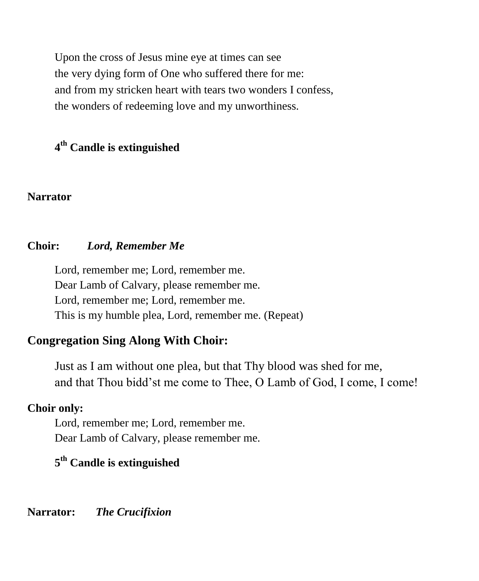Upon the cross of Jesus mine eye at times can see the very dying form of One who suffered there for me: and from my stricken heart with tears two wonders I confess, the wonders of redeeming love and my unworthiness.

## **4 th Candle is extinguished**

#### **Narrator**

### **Choir:** *Lord, Remember Me*

Lord, remember me; Lord, remember me. Dear Lamb of Calvary, please remember me. Lord, remember me; Lord, remember me. This is my humble plea, Lord, remember me. (Repeat)

## **Congregation Sing Along With Choir:**

Just as I am without one plea, but that Thy blood was shed for me, and that Thou bidd'st me come to Thee, O Lamb of God, I come, I come!

## **Choir only:**

Lord, remember me; Lord, remember me. Dear Lamb of Calvary, please remember me.

## **5 th Candle is extinguished**

**Narrator:** *The Crucifixion*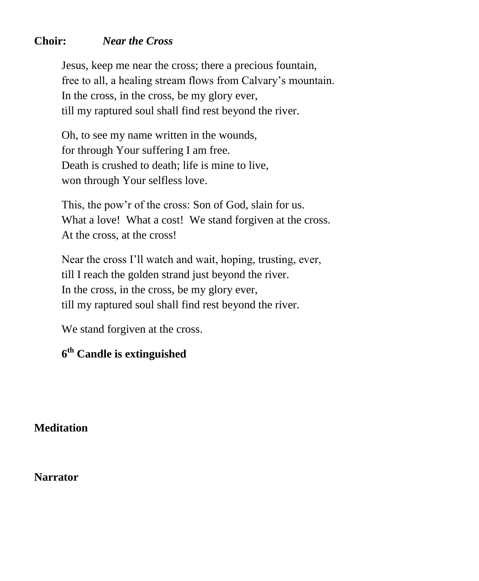#### **Choir:** *Near the Cross*

Jesus, keep me near the cross; there a precious fountain, free to all, a healing stream flows from Calvary's mountain. In the cross, in the cross, be my glory ever, till my raptured soul shall find rest beyond the river.

Oh, to see my name written in the wounds, for through Your suffering I am free. Death is crushed to death; life is mine to live, won through Your selfless love.

This, the pow'r of the cross: Son of God, slain for us. What a love! What a cost! We stand for given at the cross. At the cross, at the cross!

Near the cross I'll watch and wait, hoping, trusting, ever, till I reach the golden strand just beyond the river. In the cross, in the cross, be my glory ever, till my raptured soul shall find rest beyond the river.

We stand forgiven at the cross.

## **6 th Candle is extinguished**

**Meditation**

**Narrator**